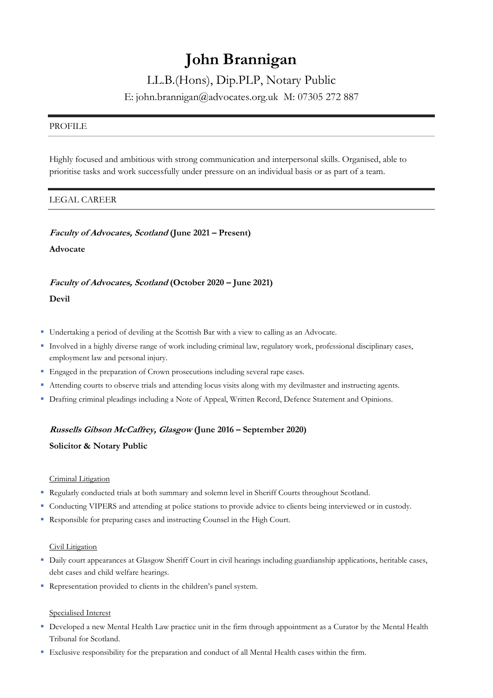# **John Brannigan**

# LL.B.(Hons), Dip.PLP, Notary Public

E: john.brannigan@advocates.org.uk M: 07305 272 887

## PROFILE

Highly focused and ambitious with strong communication and interpersonal skills. Organised, able to prioritise tasks and work successfully under pressure on an individual basis or as part of a team.

#### LEGAL CAREER

**Faculty of Advocates, Scotland (June 2021 – Present) Advocate** 

# **Faculty of Advocates, Scotland (October 2020 – June 2021)**

# **Devil**

- Undertaking a period of deviling at the Scottish Bar with a view to calling as an Advocate.
- Involved in a highly diverse range of work including criminal law, regulatory work, professional disciplinary cases, employment law and personal injury.
- Engaged in the preparation of Crown prosecutions including several rape cases.
- Attending courts to observe trials and attending locus visits along with my devilmaster and instructing agents.
- Drafting criminal pleadings including a Note of Appeal, Written Record, Defence Statement and Opinions.

# **Russells Gibson McCaffrey, Glasgow (June 2016 – September 2020)**

# **Solicitor & Notary Public**

Criminal Litigation

- Regularly conducted trials at both summary and solemn level in Sheriff Courts throughout Scotland.
- Conducting VIPERS and attending at police stations to provide advice to clients being interviewed or in custody.
- Responsible for preparing cases and instructing Counsel in the High Court.

#### Civil Litigation

- Daily court appearances at Glasgow Sheriff Court in civil hearings including guardianship applications, heritable cases, debt cases and child welfare hearings.
- Representation provided to clients in the children's panel system.

#### Specialised Interest

- Developed a new Mental Health Law practice unit in the firm through appointment as a Curator by the Mental Health Tribunal for Scotland.
- Exclusive responsibility for the preparation and conduct of all Mental Health cases within the firm.